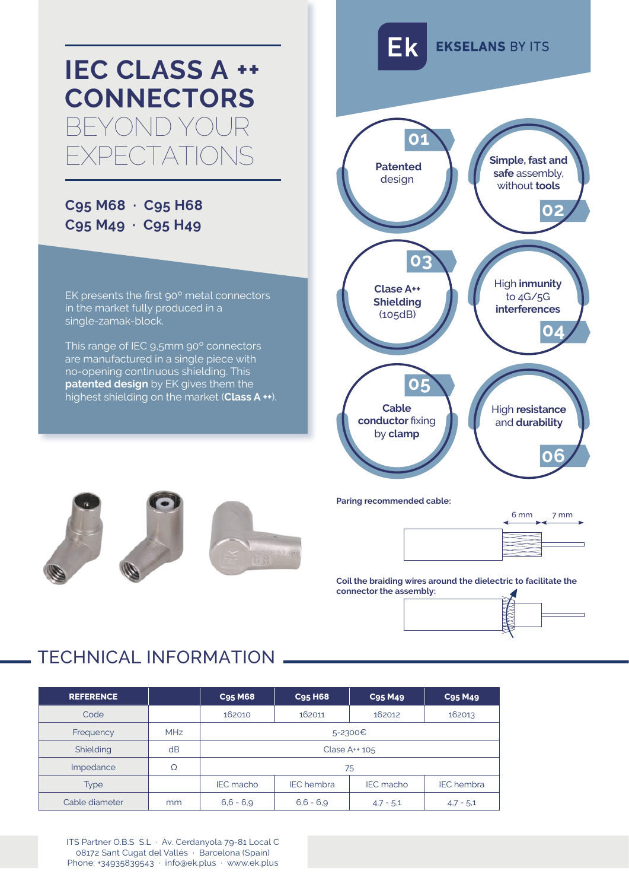

## **C95 M68 · C95 H68 C95 M49 · C95 H49**

EK presents the first 90º metal connectors in the market fully produced in a single-zamak-block.

This range of IEC 9,5mm 90º connectors are manufactured in a single piece with no-opening continuous shielding. This **patented design** by EK gives them the highest shielding on the market (**Class A ++**).







**Paring recommended cable:**



**Coil the braiding wires around the dielectric to facilitate the connector the assembly:**



## TECHNICAL INFORMATION

| <b>REFERENCE</b> |            | <b>C95 M68</b>   | <b>C95 H68</b>    | <b>C95 M49</b>   | <b>C95 M49</b>    |  |  |
|------------------|------------|------------------|-------------------|------------------|-------------------|--|--|
| Code             |            | 162010           | 162011            | 162012           | 162013            |  |  |
| Frequency        | <b>MHz</b> | 5-2300€          |                   |                  |                   |  |  |
| Shielding        | dB         | Clase $A++105$   |                   |                  |                   |  |  |
| Impedance        | Ω          | 75               |                   |                  |                   |  |  |
| Type             |            | <b>IEC</b> macho | <b>IEC</b> hembra | <b>IEC</b> macho | <b>IEC</b> hembra |  |  |
| Cable diameter   | mm         | $6,6 - 6,9$      | $6,6 - 6,9$       | $4.7 - 5.1$      | $4.7 - 5.1$       |  |  |

ITS Partner O.B.S S.L · Av. Cerdanyola 79-81 Local C 08172 Sant Cugat del Vallés · Barcelona (Spain) Phone: +34935839543 · info@ek.plus · www.ek.plus